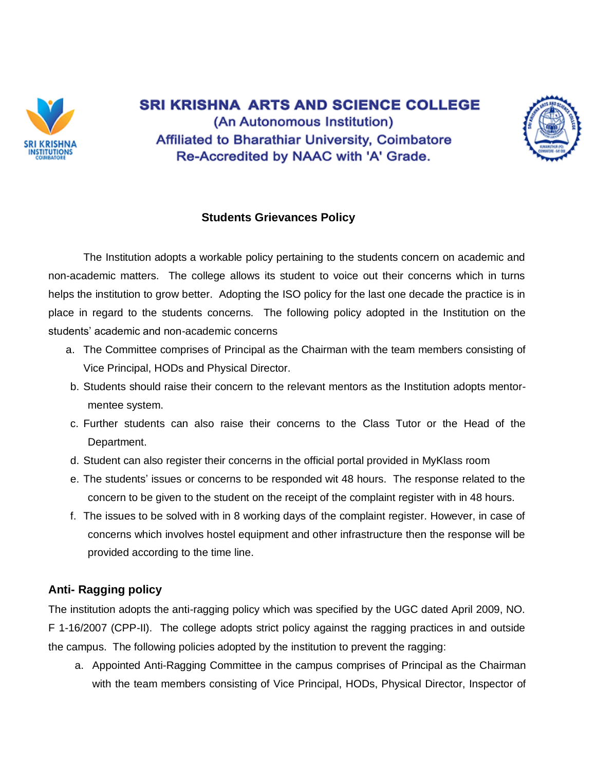

**SRI KRISHNA ARTS AND SCIENCE COLLEGE** (An Autonomous Institution) **Affiliated to Bharathiar University, Coimbatore** Re-Accredited by NAAC with 'A' Grade.



## **Students Grievances Policy**

The Institution adopts a workable policy pertaining to the students concern on academic and non-academic matters. The college allows its student to voice out their concerns which in turns helps the institution to grow better. Adopting the ISO policy for the last one decade the practice is in place in regard to the students concerns. The following policy adopted in the Institution on the students' academic and non-academic concerns

- a. The Committee comprises of Principal as the Chairman with the team members consisting of Vice Principal, HODs and Physical Director.
- b. Students should raise their concern to the relevant mentors as the Institution adopts mentormentee system.
- c. Further students can also raise their concerns to the Class Tutor or the Head of the Department.
- d. Student can also register their concerns in the official portal provided in MyKlass room
- e. The students' issues or concerns to be responded wit 48 hours. The response related to the concern to be given to the student on the receipt of the complaint register with in 48 hours.
- f. The issues to be solved with in 8 working days of the complaint register. However, in case of concerns which involves hostel equipment and other infrastructure then the response will be provided according to the time line.

## **Anti- Ragging policy**

The institution adopts the anti-ragging policy which was specified by the UGC dated April 2009, NO. F 1-16/2007 (CPP-II). The college adopts strict policy against the ragging practices in and outside the campus. The following policies adopted by the institution to prevent the ragging:

a. Appointed Anti-Ragging Committee in the campus comprises of Principal as the Chairman with the team members consisting of Vice Principal, HODs, Physical Director, Inspector of